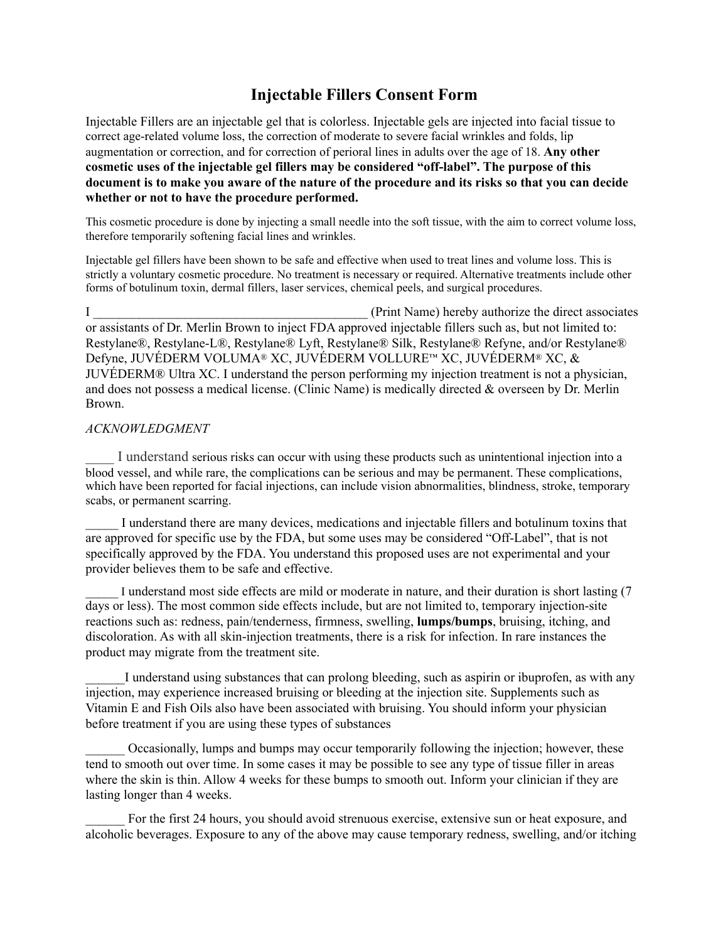## **Injectable Fillers Consent Form**

Injectable Fillers are an injectable gel that is colorless. Injectable gels are injected into facial tissue to correct age-related volume loss, the correction of moderate to severe facial wrinkles and folds, lip augmentation or correction, and for correction of perioral lines in adults over the age of 18. **Any other cosmetic uses of the injectable gel fillers may be considered "off-label". The purpose of this document is to make you aware of the nature of the procedure and its risks so that you can decide whether or not to have the procedure performed.** 

This cosmetic procedure is done by injecting a small needle into the soft tissue, with the aim to correct volume loss, therefore temporarily softening facial lines and wrinkles.

Injectable gel fillers have been shown to be safe and effective when used to treat lines and volume loss. This is strictly a voluntary cosmetic procedure. No treatment is necessary or required. Alternative treatments include other forms of botulinum toxin, dermal fillers, laser services, chemical peels, and surgical procedures.

I and  $P$  authorize the direct associates (Print Name) hereby authorize the direct associates or assistants of Dr. Merlin Brown to inject FDA approved injectable fillers such as, but not limited to: Restylane®, Restylane-L®, Restylane® Lyft, Restylane® Silk, Restylane® Refyne, and/or Restylane® Defyne, JUVÉDERM VOLUMA® XC, JUVÉDERM VOLLURE™ XC, JUVÉDERM® XC, & JUVÉDERM® Ultra XC. I understand the person performing my injection treatment is not a physician, and does not possess a medical license. (Clinic Name) is medically directed & overseen by Dr. Merlin Brown.

## *ACKNOWLEDGMENT*

I understand serious risks can occur with using these products such as unintentional injection into a blood vessel, and while rare, the complications can be serious and may be permanent. These complications, which have been reported for facial injections, can include vision abnormalities, blindness, stroke, temporary scabs, or permanent scarring.

\_\_\_\_\_ I understand there are many devices, medications and injectable fillers and botulinum toxins that are approved for specific use by the FDA, but some uses may be considered "Off-Label", that is not specifically approved by the FDA. You understand this proposed uses are not experimental and your provider believes them to be safe and effective.

I understand most side effects are mild or moderate in nature, and their duration is short lasting (7) days or less). The most common side effects include, but are not limited to, temporary injection-site reactions such as: redness, pain/tenderness, firmness, swelling, **lumps/bumps**, bruising, itching, and discoloration. As with all skin-injection treatments, there is a risk for infection. In rare instances the product may migrate from the treatment site.

I understand using substances that can prolong bleeding, such as aspirin or ibuprofen, as with any injection, may experience increased bruising or bleeding at the injection site. Supplements such as Vitamin E and Fish Oils also have been associated with bruising. You should inform your physician before treatment if you are using these types of substances

\_\_\_\_\_\_ Occasionally, lumps and bumps may occur temporarily following the injection; however, these tend to smooth out over time. In some cases it may be possible to see any type of tissue filler in areas where the skin is thin. Allow 4 weeks for these bumps to smooth out. Inform your clinician if they are lasting longer than 4 weeks.

For the first 24 hours, you should avoid strenuous exercise, extensive sun or heat exposure, and alcoholic beverages. Exposure to any of the above may cause temporary redness, swelling, and/or itching